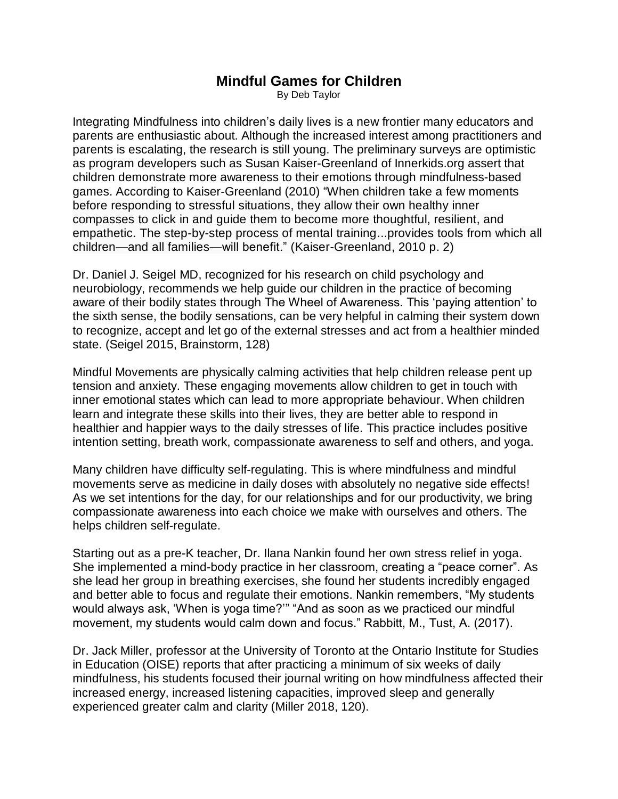## **Mindful Games for Children**

By Deb Taylor

Integrating Mindfulness into children's daily lives is a new frontier many educators and parents are enthusiastic about. Although the increased interest among practitioners and parents is escalating, the research is still young. The preliminary surveys are optimistic as program developers such as Susan Kaiser-Greenland of Innerkids.org assert that children demonstrate more awareness to their emotions through mindfulness-based games. According to Kaiser-Greenland (2010) "When children take a few moments before responding to stressful situations, they allow their own healthy inner compasses to click in and guide them to become more thoughtful, resilient, and empathetic. The step-by-step process of mental training...provides tools from which all children—and all families—will benefit." (Kaiser-Greenland, 2010 p. 2)

Dr. Daniel J. Seigel MD, recognized for his research on child psychology and neurobiology, recommends we help guide our children in the practice of becoming aware of their bodily states through The Wheel of Awareness. This 'paying attention' to the sixth sense, the bodily sensations, can be very helpful in calming their system down to recognize, accept and let go of the external stresses and act from a healthier minded state. (Seigel 2015, Brainstorm, 128)

Mindful Movements are physically calming activities that help children release pent up tension and anxiety. These engaging movements allow children to get in touch with inner emotional states which can lead to more appropriate behaviour. When children learn and integrate these skills into their lives, they are better able to respond in healthier and happier ways to the daily stresses of life. This practice includes positive intention setting, breath work, compassionate awareness to self and others, and yoga.

Many children have difficulty self-regulating. This is where mindfulness and mindful movements serve as medicine in daily doses with absolutely no negative side effects! As we set intentions for the day, for our relationships and for our productivity, we bring compassionate awareness into each choice we make with ourselves and others. The helps children self-regulate.

Starting out as a pre-K teacher, Dr. Ilana Nankin found her own stress relief in yoga. She implemented a mind-body practice in her classroom, creating a "peace corner". As she lead her group in breathing exercises, she found her students incredibly engaged and better able to focus and regulate their emotions. Nankin remembers, "My students would always ask, 'When is yoga time?'" "And as soon as we practiced our mindful movement, my students would calm down and focus." Rabbitt, M., Tust, A. (2017).

Dr. Jack Miller, professor at the University of Toronto at the Ontario Institute for Studies in Education (OISE) reports that after practicing a minimum of six weeks of daily mindfulness, his students focused their journal writing on how mindfulness affected their increased energy, increased listening capacities, improved sleep and generally experienced greater calm and clarity (Miller 2018, 120).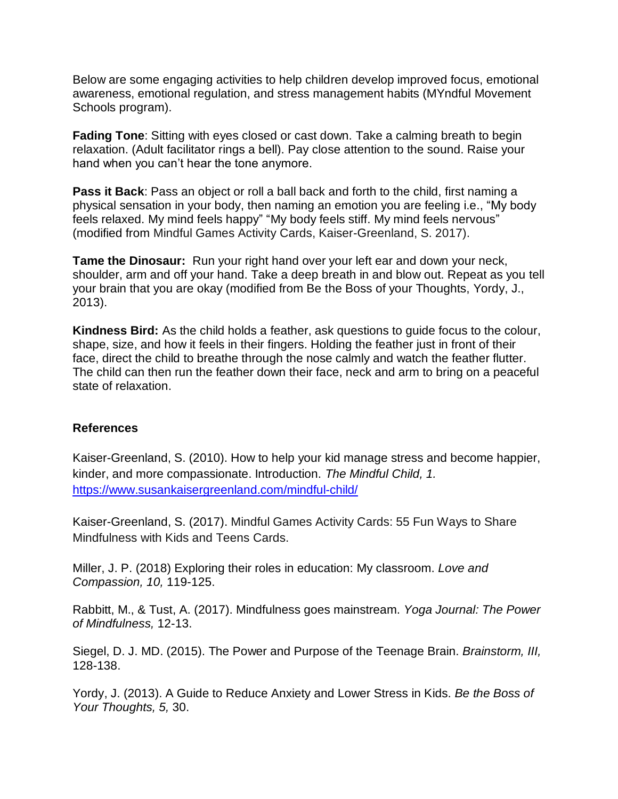Below are some engaging activities to help children develop improved focus, emotional awareness, emotional regulation, and stress management habits (MYndful Movement Schools program).

**Fading Tone**: Sitting with eyes closed or cast down. Take a calming breath to begin relaxation. (Adult facilitator rings a bell). Pay close attention to the sound. Raise your hand when you can't hear the tone anymore.

**Pass it Back**: Pass an object or roll a ball back and forth to the child, first naming a physical sensation in your body, then naming an emotion you are feeling i.e., "My body feels relaxed. My mind feels happy" "My body feels stiff. My mind feels nervous" (modified from Mindful Games Activity Cards, Kaiser-Greenland, S. 2017).

**Tame the Dinosaur:** Run your right hand over your left ear and down your neck, shoulder, arm and off your hand. Take a deep breath in and blow out. Repeat as you tell your brain that you are okay (modified from Be the Boss of your Thoughts, Yordy, J., 2013).

**Kindness Bird:** As the child holds a feather, ask questions to guide focus to the colour, shape, size, and how it feels in their fingers. Holding the feather just in front of their face, direct the child to breathe through the nose calmly and watch the feather flutter. The child can then run the feather down their face, neck and arm to bring on a peaceful state of relaxation.

## **References**

Kaiser-Greenland, S. (2010). How to help your kid manage stress and become happier, kinder, and more compassionate. Introduction. *The Mindful Child, 1.* <https://www.susankaisergreenland.com/mindful-child/>

Kaiser-Greenland, S. (2017). Mindful Games Activity Cards: 55 Fun Ways to Share Mindfulness with Kids and Teens Cards.

Miller, J. P. (2018) Exploring their roles in education: My classroom. *Love and Compassion, 10,* 119-125.

Rabbitt, M., & Tust, A. (2017). Mindfulness goes mainstream. *Yoga Journal: The Power of Mindfulness,* 12-13.

Siegel, D. J. MD. (2015). The Power and Purpose of the Teenage Brain. *Brainstorm, III,* 128-138.

Yordy, J. (2013). A Guide to Reduce Anxiety and Lower Stress in Kids. *Be the Boss of Your Thoughts, 5,* 30.